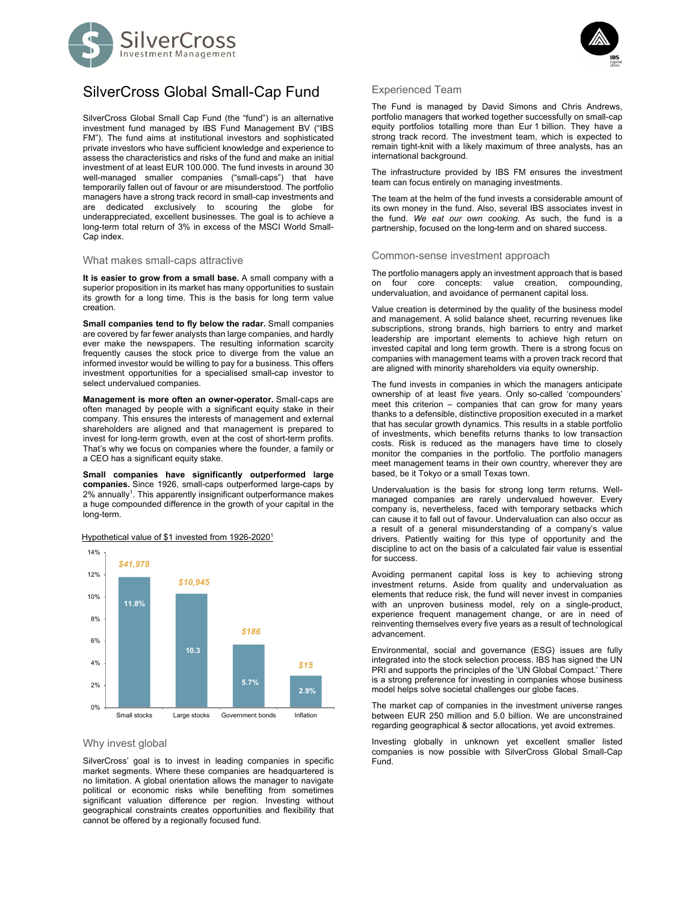



SilverCross Global Small Cap Fund (the "fund") is an alternative investment fund managed by IBS Fund Management BV ("IBS FM"). The fund aims at institutional investors and sophisticated private investors who have sufficient knowledge and experience to assess the characteristics and risks of the fund and make an initial investment of at least EUR 100.000. The fund invests in around 30 well-managed smaller companies ("small-caps") that have temporarily fallen out of favour or are misunderstood. The portfolio managers have a strong track record in small-cap investments and are dedicated exclusively to scouring the globe for underappreciated, excellent businesses. The goal is to achieve a long-term total return of 3% in excess of the MSCI World Small-Cap index.

### What makes small-caps attractive

**It is easier to grow from a small base.** A small company with a superior proposition in its market has many opportunities to sustain its growth for a long time. This is the basis for long term value creation.

**Small companies tend to fly below the radar.** Small companies are covered by far fewer analysts than large companies, and hardly ever make the newspapers. The resulting information scarcity frequently causes the stock price to diverge from the value an informed investor would be willing to pay for a business. This offers investment opportunities for a specialised small-cap investor to select undervalued companies.

**Management is more often an owner-operator.** Small-caps are often managed by people with a significant equity stake in their company. This ensures the interests of management and external shareholders are aligned and that management is prepared to invest for long-term growth, even at the cost of short-term profits. That's why we focus on companies where the founder, a family or a CEO has a significant equity stake.

**Small companies have significantly outperformed large companies.** Since 1926, small-caps outperformed large-caps by 2% annually<sup>1</sup>. This apparently insignificant outperformance makes a huge compounded difference in the growth of your capital in the long-term.



### Hypothetical value of \$1 invested from 1926-2020<sup>1</sup>

# Why invest global

SilverCross' goal is to invest in leading companies in specific market segments. Where these companies are headquartered is no limitation. A global orientation allows the manager to navigate political or economic risks while benefiting from sometimes significant valuation difference per region. Investing without geographical constraints creates opportunities and flexibility that cannot be offered by a regionally focused fund.



#### Experienced Team

The Fund is managed by David Simons and Chris Andrews, portfolio managers that worked together successfully on small-cap equity portfolios totalling more than Eur 1 billion. They have a strong track record. The investment team, which is expected to remain tight-knit with a likely maximum of three analysts, has an international background.

The infrastructure provided by IBS FM ensures the investment team can focus entirely on managing investments.

The team at the helm of the fund invests a considerable amount of its own money in the fund. Also, several IBS associates invest in the fund. *We eat our own cooking.* As such, the fund is a partnership, focused on the long-term and on shared success.

## Common-sense investment approach

The portfolio managers apply an investment approach that is based on four core concepts: value creation, compounding, undervaluation, and avoidance of permanent capital loss.

Value creation is determined by the quality of the business model and management. A solid balance sheet, recurring revenues like subscriptions, strong brands, high barriers to entry and market leadership are important elements to achieve high return on invested capital and long term growth. There is a strong focus on companies with management teams with a proven track record that are aligned with minority shareholders via equity ownership.

The fund invests in companies in which the managers anticipate ownership of at least five years. Only so-called 'compounders' meet this criterion – companies that can grow for many years thanks to a defensible, distinctive proposition executed in a market that has secular growth dynamics. This results in a stable portfolio of investments, which benefits returns thanks to low transaction costs. Risk is reduced as the managers have time to closely monitor the companies in the portfolio. The portfolio managers meet management teams in their own country, wherever they are based, be it Tokyo or a small Texas town.

Undervaluation is the basis for strong long term returns. Wellmanaged companies are rarely undervalued however. Every company is, nevertheless, faced with temporary setbacks which can cause it to fall out of favour. Undervaluation can also occur as a result of a general misunderstanding of a company's value drivers. Patiently waiting for this type of opportunity and the discipline to act on the basis of a calculated fair value is essential for success.

Avoiding permanent capital loss is key to achieving strong investment returns. Aside from quality and undervaluation as elements that reduce risk, the fund will never invest in companies with an unproven business model, rely on a single-product, experience frequent management change, or are in need of reinventing themselves every five years as a result of technological advancement.

Environmental, social and governance (ESG) issues are fully integrated into the stock selection process. IBS has signed the UN PRI and supports the principles of the 'UN Global Compact.' There is a strong preference for investing in companies whose business model helps solve societal challenges our globe faces.

The market cap of companies in the investment universe ranges between EUR 250 million and 5.0 billion. We are unconstrained regarding geographical & sector allocations, yet avoid extremes.

Investing globally in unknown yet excellent smaller listed companies is now possible with SilverCross Global Small-Cap Fund.